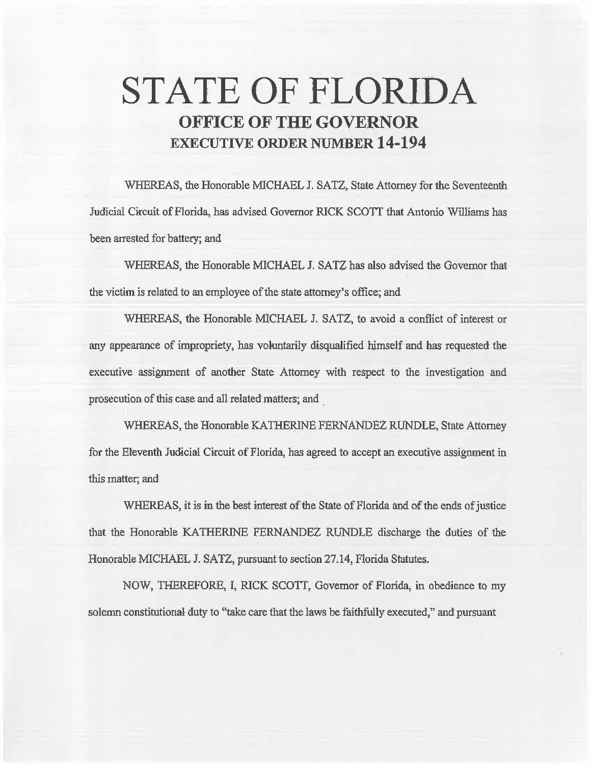# **STATE OF FLORIDA OFFICE OF THE GOVERNOR EXECUTIVE ORDER NUMBER 14-194**

WHEREAS, the Honorable MICHAEL J. SATZ, State Attorney for the Seventeenth Judicial Circuit of Florida, has advised Governor RICK SCOTT that Antonio Williams has been arrested for battery; and

WHEREAS, the Honorable MICHAEL J. SATZ has also advised the Governor that the victim is related to an employee of the state attorney's office; and

WHEREAS, the Honorable MICHAEL J. SATZ, to avoid a conflict of interest or any appearance of impropriety, has voluntarily disqualified himself and has requested the executive assignment of another State Attorney with respect to the investigation and prosecution of this case and all related matters; and

WHEREAS, the Honorable KATHERINE FERNANDEZ RUNDLE, State Attorney for the Eleventh Judicial Circuit of Florida, has agreed to accept an executive assignment in this matter; and

WHEREAS, it is in the best interest of the State of Florida and of the ends of justice that the Honorable KA THERINE FERNANDEZ RUNDLE discharge the duties of the Honorable MICHAEL J. SATZ, pursuant to section 27.14, Florida Statutes.

NOW, THEREFORE, I, RICK SCOTI, Governor of Florida, in obedience to my solemn constitutional duty to "take care that the laws be faithfully executed," and pursuant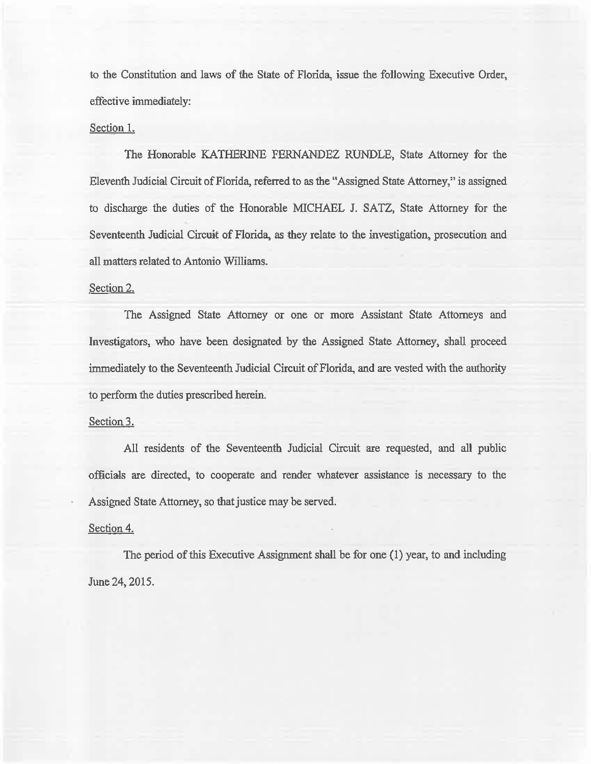to the Constitution and laws of the State of Florida, issue the following Executive Order, effective immediately:

## Section I.

The Honorable KATHERINE FERNANDEZ RUNDLE, State Attorney for the Eleventh Judicial Circuit of Florida, referred to as the ''Assigned State Attorney,'' is assigned to discharge the duties of the Honorable MICHAEL J. SATZ, State Attorney for the Seventeenth Judicial Circuit of Florida, as they relate to the investigation, prosecution and all matters related to Antonio Williams.

# Section 2.

The Assigned State Attorney or one or more Assistant State Attorneys and Investigators, who have been designated by the Assigned State Attorney, shall proceed immediately to the Seventeenth Judicial Circuit of Florida, and are vested with the authority to perform the duties prescribed herein.

## Section 3.

All residents of the Seventeenth Judicial Circuit are requested, and all public officials are directed, to cooperate and render whatever assistance is necessary to the Assigned State Attorney, so that justice may be served.

#### Section 4.

The period of this Executive Assignment shall be for one (I) year, to and including June 24, 2015.